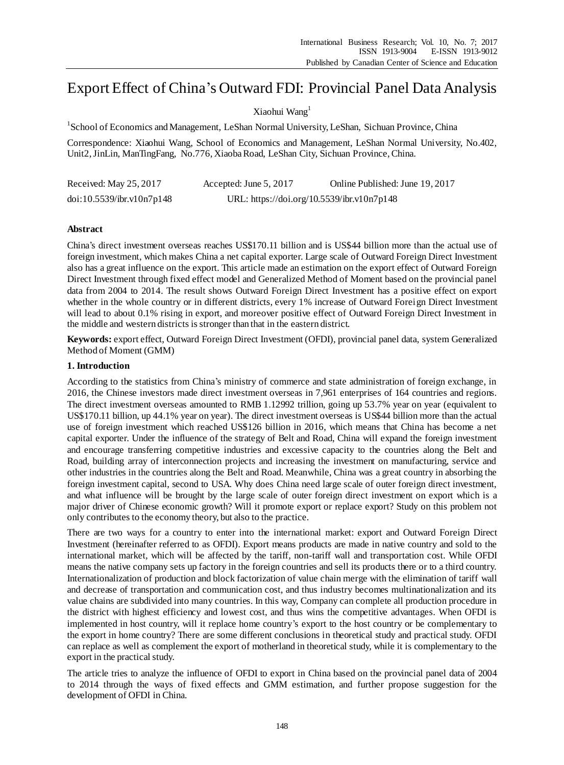# Export Effect of China's Outward FDI: Provincial Panel Data Analysis

Xiaohui Wang<sup>1</sup>

<sup>1</sup> School of Economics and Management, LeShan Normal University, LeShan, Sichuan Province, China

Correspondence: Xiaohui Wang, School of Economics and Management, LeShan Normal University, No.402, Unit2, JinLin, ManTingFang, No.776, Xiaoba Road, LeShan City, Sichuan Province, China.

| Received: May 25, 2017    | Accepted: June 5, 2017                     | Online Published: June 19, 2017 |
|---------------------------|--------------------------------------------|---------------------------------|
| doi:10.5539/ibr.v10n7p148 | URL: https://doi.org/10.5539/ibr.v10n7p148 |                                 |

# **Abstract**

China's direct investment overseas reaches US\$170.11 billion and is US\$44 billion more than the actual use of foreign investment, which makes China a net capital exporter. Large scale of Outward Foreign Direct Investment also has a great influence on the export. This article made an estimation on the export effect of Outward Foreign Direct Investment through fixed effect model and Generalized Method of Moment based on the provincial panel data from 2004 to 2014. The result shows Outward Foreign Direct Investment has a positive effect on export whether in the whole country or in different districts, every 1% increase of Outward Foreign Direct Investment will lead to about 0.1% rising in export, and moreover positive effect of Outward Foreign Direct Investment in the middle and western districts is stronger than that in the eastern district.

**Keywords:** export effect, Outward Foreign Direct Investment (OFDI), provincial panel data, system Generalized Method of Moment (GMM)

# **1. Introduction**

According to the statistics from China's ministry of commerce and state administration of foreign exchange, in 2016, the Chinese investors made direct investment overseas in 7,961 enterprises of 164 countries and regions. The direct investment overseas amounted to RMB 1.12992 trillion, going up 53.7% year on year (equivalent to US\$170.11 billion, up 44.1% year on year). The direct investment overseas is US\$44 billion more than the actual use of foreign investment which reached US\$126 billion in 2016, which means that China has become a net capital exporter. Under the influence of the strategy of Belt and Road, China will expand the foreign investment and encourage transferring competitive industries and excessive capacity to the countries along the Belt and Road, building array of interconnection projects and increasing the investment on manufacturing, service and other industries in the countries along the Belt and Road. Meanwhile, China was a great country in absorbing the foreign investment capital, second to USA. Why does China need large scale of outer foreign direct investment, and what influence will be brought by the large scale of outer foreign direct investment on export which is a major driver of Chinese economic growth? Will it promote export or replace export? Study on this problem not only contributes to the economy theory, but also to the practice.

There are two ways for a country to enter into the international market: export and Outward Foreign Direct Investment (hereinafter referred to as OFDI). Export means products are made in native country and sold to the international market, which will be affected by the tariff, non-tariff wall and transportation cost. While OFDI means the native company sets up factory in the foreign countries and sell its products there or to a third country. Internationalization of production and block factorization of value chain merge with the elimination of tariff wall and decrease of transportation and communication cost, and thus industry becomes multinationalization and its value chains are subdivided into many countries. In this way, Company can complete all production procedure in the district with highest efficiency and lowest cost, and thus wins the competitive advantages. When OFDI is implemented in host country, will it replace home country's export to the host country or be complementary to the export in home country? There are some different conclusions in theoretical study and practical study. OFDI can replace as well as complement the export of motherland in theoretical study, while it is complementary to the export in the practical study.

The article tries to analyze the influence of OFDI to export in China based on the provincial panel data of 2004 to 2014 through the ways of fixed effects and GMM estimation, and further propose suggestion for the development of OFDI in China.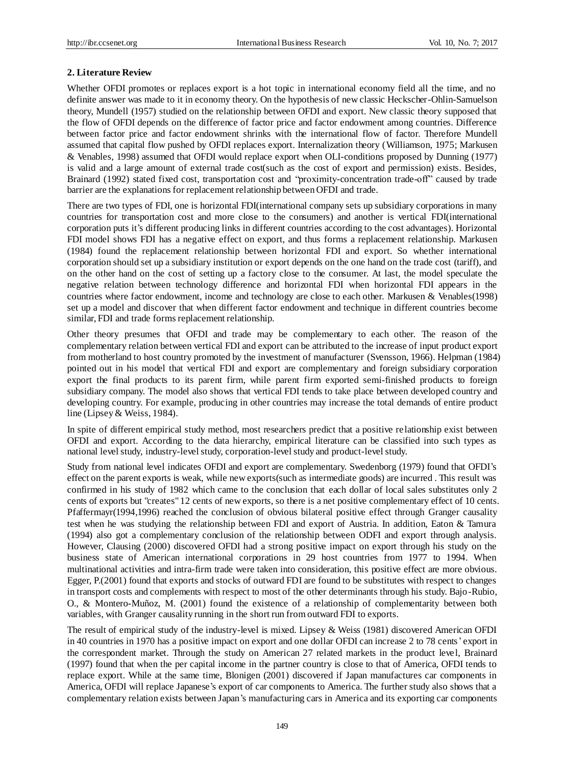#### **2. Literature Review**

Whether OFDI promotes or replaces export is a hot topic in international economy field all the time, and no definite answer was made to it in economy theory. On the hypothesis of new classic Heckscher-Ohlin-Samuelson theory, Mundell (1957) studied on the relationship between OFDI and export. New classic theory supposed that the flow of OFDI depends on the difference of factor price and factor endowment among countries. Difference between factor price and factor endowment shrinks with the international flow of factor. Therefore Mundell assumed that capital flow pushed by OFDI replaces export. Internalization theory (Williamson, 1975; Markusen & Venables, 1998) assumed that OFDI would replace export when OLI-conditions proposed by Dunning (1977) is valid and a large amount of external trade cost(such as the cost of export and permission) exists. Besides, Brainard (1992) stated fixed cost, transportation cost and "proximity-concentration trade-off" caused by trade barrier are the explanations for replacement relationship between OFDI and trade.

There are two types of FDI, one is horizontal FDI(international company sets up subsidiary corporations in many countries for transportation cost and more close to the consumers) and another is vertical FDI(international corporation puts it's different producing links in different countries according to the cost advantages). Horizontal FDI model shows FDI has a negative effect on export, and thus forms a replacement relationship. Markusen (1984) found the replacement relationship between horizontal FDI and export. So whether international corporation should set up a subsidiary institution or export depends on the one hand on the trade cost (tariff), and on the other hand on the cost of setting up a factory close to the consumer. At last, the model speculate the negative relation between technology difference and horizontal FDI when horizontal FDI appears in the countries where factor endowment, income and technology are close to each other. Markusen & Venables(1998) set up a model and discover that when different factor endowment and technique in different countries become similar, FDI and trade forms replacement relationship.

Other theory presumes that OFDI and trade may be complementary to each other. The reason of the complementary relation between vertical FDI and export can be attributed to the increase of input product export from motherland to host country promoted by the investment of manufacturer (Svensson, 1966). Helpman (1984) pointed out in his model that vertical FDI and export are complementary and foreign subsidiary corporation export the final products to its parent firm, while parent firm exported semi-finished products to foreign subsidiary company. The model also shows that vertical FDI tends to take place between developed country and developing country. For example, producing in other countries may increase the total demands of entire product line (Lipsey& Weiss, 1984).

In spite of different empirical study method, most researchers predict that a positive relationship exist between OFDI and export. According to the data hierarchy, empirical literature can be classified into such types as national level study, industry-level study, corporation-level study and product-level study.

Study from national level indicates OFDI and export are complementary. Swedenborg (1979) found that OFDI's effect on the parent exports is weak, while new exports(such as intermediate goods) are incurred . This result was confirmed in his study of 1982 which came to the conclusion that each dollar of local sales substitutes only 2 cents of exports but "creates" 12 cents of new exports, so there is a net positive complementary effect of 10 cents. Pfaffermayr(1994,1996) reached the conclusion of obvious bilateral positive effect through Granger causality test when he was studying the relationship between FDI and export of Austria. In addition, Eaton & Tamura (1994) also got a complementary conclusion of the relationship between ODFI and export through analysis. However, Clausing (2000) discovered OFDI had a strong positive impact on export through his study on the business state of American international corporations in 29 host countries from 1977 to 1994. When multinational activities and intra-firm trade were taken into consideration, this positive effect are more obvious. Egger, P.(2001) found that exports and stocks of outward FDI are found to be substitutes with respect to changes in transport costs and complements with respect to most of the other determinants through his study. Bajo-Rubio, O., & Montero-Muñoz, M. (2001) found the existence of a relationship of complementarity between both variables, with Granger causality running in the short run from outward FDI to exports.

The result of empirical study of the industry-level is mixed. Lipsey & Weiss (1981) discovered American OFDI in 40 countries in 1970 has a positive impact on export and one dollar OFDI can increase 2 to 78 cents' export in the correspondent market. Through the study on American 27 related markets in the product level, Brainard (1997) found that when the per capital income in the partner country is close to that of America, OFDI tends to replace export. While at the same time, Blonigen (2001) discovered if Japan manufactures car components in America, OFDI will replace Japanese's export of car components to America. The further study also shows that a complementary relation exists between Japan's manufacturing cars in America and its exporting car components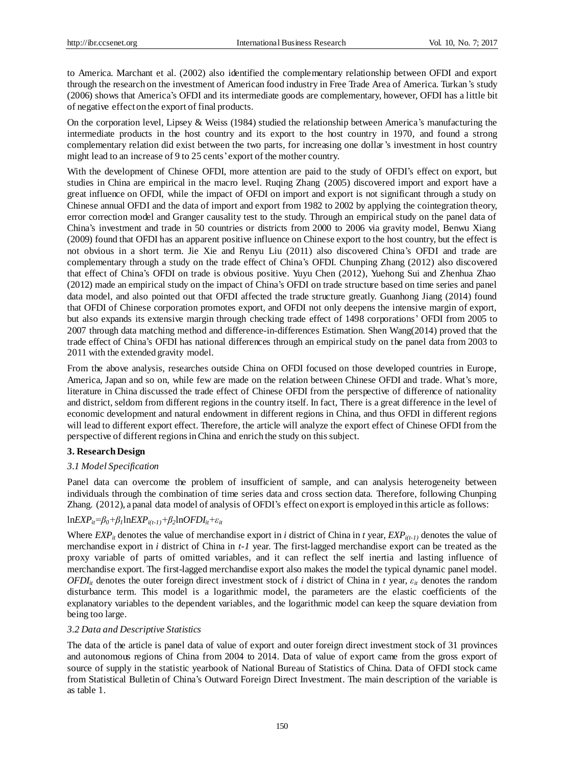to America. Marchant et al. (2002) also identified the complementary relationship between OFDI and export through the research on the investment of American food industry in Free Trade Area of America. Turkan's study (2006) shows that America's OFDI and its intermediate goods are complementary, however, OFDI has a little bit of negative effect on the export of final products.

On the corporation level, Lipsey & Weiss (1984) studied the relationship between America's manufacturing the intermediate products in the host country and its export to the host country in 1970, and found a strong complementary relation did exist between the two parts, for increasing one dollar's investment in host country might lead to an increase of 9 to 25 cents'export of the mother country.

With the development of Chinese OFDI, more attention are paid to the study of OFDI's effect on export, but studies in China are empirical in the macro level. Ruqing Zhang (2005) discovered import and export have a great influence on OFDI, while the impact of OFDI on import and export is not significant through a study on Chinese annual OFDI and the data of import and export from 1982 to 2002 by applying the cointegration theory, error correction model and Granger causality test to the study. Through an empirical study on the panel data of China's investment and trade in 50 countries or districts from 2000 to 2006 via gravity model, Benwu Xiang (2009) found that OFDI has an apparent positive influence on Chinese export to the host country, but the effect is not obvious in a short term. Jie Xie and Renyu Liu (2011) also discovered China's OFDI and trade are complementary through a study on the trade effect of China's OFDI. Chunping Zhang (2012) also discovered that effect of China's OFDI on trade is obvious positive. Yuyu Chen (2012), Yuehong Sui and Zhenhua Zhao (2012) made an empirical study on the impact of China's OFDI on trade structure based on time series and panel data model, and also pointed out that OFDI affected the trade structure greatly. Guanhong Jiang (2014) found that OFDI of Chinese corporation promotes export, and OFDI not only deepens the intensive margin of export, but also expands its extensive margin through checking trade effect of 1498 corporations' OFDI from 2005 to 2007 through data matching method and difference-in-differences Estimation. Shen Wang(2014) proved that the trade effect of China's OFDI has national differences through an empirical study on the panel data from 2003 to 2011 with the extended gravity model.

From the above analysis, researches outside China on OFDI focused on those developed countries in Europe, America, Japan and so on, while few are made on the relation between Chinese OFDI and trade. What's more, literature in China discussed the trade effect of Chinese OFDI from the perspective of difference of nationality and district, seldom from different regions in the country itself. In fact, There is a great difference in the level of economic development and natural endowment in different regions in China, and thus OFDI in different regions will lead to different export effect. Therefore, the article will analyze the export effect of Chinese OFDI from the perspective of different regionsin China and enrich the study on this subject.

## **3. Research Design**

## *3.1 Model Specification*

Panel data can overcome the problem of insufficient of sample, and can analysis heterogeneity between individuals through the combination of time series data and cross section data. Therefore, following Chunping Zhang. (2012), a panal data model of analysis of OFDI's effect on export is employed in this article as follows:

# ln*EXP*<sup>*it*</sup> =β<sub>0</sub>+β<sub>*l*</sub></sub>ln*EXP*<sub>*i*(t-1)</sub>+β<sub>2</sub>lnOFDI<sub>it</sub>+ε<sub>it</sub>

Where  $EXP_i$  denotes the value of merchandise export in *i* district of China in *t* year,  $EXP_{i(t-1)}$  denotes the value of merchandise export in *i* district of China in *t-1* year. The first-lagged merchandise export can be treated as the proxy variable of parts of omitted variables, and it can reflect the self inertia and lasting influence of merchandise export. The first-lagged merchandise export also makes the model the typical dynamic panel model. *OFDI*<sub>*it*</sub> denotes the outer foreign direct investment stock of *i* district of China in *t* year,  $\varepsilon_i$  denotes the random disturbance term. This model is a logarithmic model, the parameters are the elastic coefficients of the explanatory variables to the dependent variables, and the logarithmic model can keep the square deviation from being too large.

## *3.2 Data and Descriptive Statistics*

The data of the article is panel data of value of export and outer foreign direct investment stock of 31 provinces and autonomous regions of China from 2004 to 2014. Data of value of export came from the gross export of source of supply in the statistic yearbook of National Bureau of Statistics of China. Data of OFDI stock came from Statistical Bulletin of China's Outward Foreign Direct Investment. The main description of the variable is as table 1.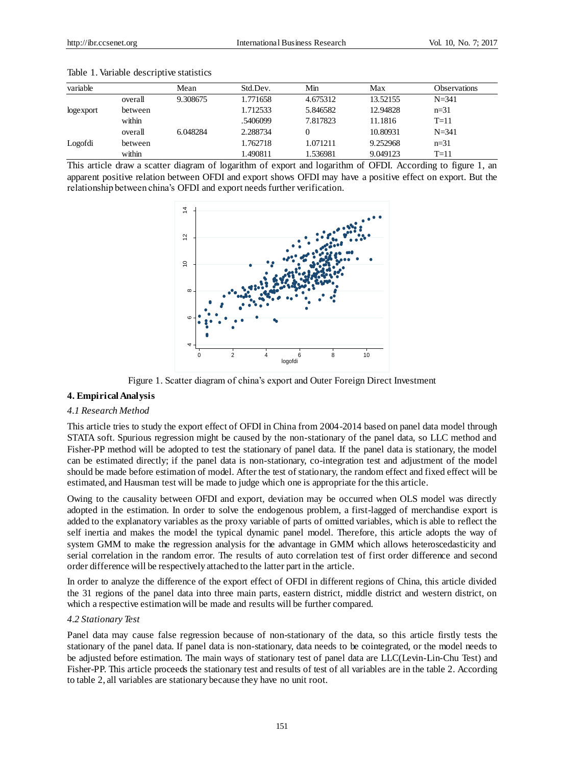| variable  |         | Mean     | Std.Dev. | Min      | Max      | <b>Observations</b> |
|-----------|---------|----------|----------|----------|----------|---------------------|
|           | overall | 9.308675 | 1.771658 | 4.675312 | 13.52155 | $N = 341$           |
| logexport | between |          | 1.712533 | 5.846582 | 12.94828 | $n=31$              |
|           | within  |          | .5406099 | 7.817823 | 11.1816  | $T=11$              |
|           | overall | 6.048284 | 2.288734 |          | 10.80931 | $N = 341$           |
| Logofdi   | between |          | 1.762718 | 1.071211 | 9.252968 | $n=31$              |
|           | within  |          | 1.490811 | 1.536981 | 9.049123 | $T=11$              |

#### Table 1. Variable descriptive statistics

This article draw a scatter diagram of logarithm of export and logarithm of OFDI. According to figure 1, an apparent positive relation between OFDI and export shows OFDI may have a positive effect on export. But the relationship between china's OFDI and export needs further verification.





## **4. Empirical Analysis**

## *4.1 Research Method*

This article tries to study the export effect of OFDI in China from 2004-2014 based on panel data model through STATA soft. Spurious regression might be caused by the non-stationary of the panel data, so LLC method and Fisher-PP method will be adopted to test the stationary of panel data. If the panel data is stationary, the model can be estimated directly; if the panel data is non-stationary, co-integration test and adjustment of the model should be made before estimation of model. After the test of stationary, the random effect and fixed effect will be estimated, and Hausman test will be made to judge which one is appropriate for the this article.

Owing to the causality between OFDI and export, deviation may be occurred when OLS model was directly adopted in the estimation. In order to solve the endogenous problem, a first-lagged of merchandise export is added to the explanatory variables as the proxy variable of parts of omitted variables, which is able to reflect the self inertia and makes the model the typical dynamic panel model. Therefore, this article adopts the way of system GMM to make the regression analysis for the advantage in GMM which allows heteroscedasticity and serial correlation in the random error. The results of auto correlation test of first order difference and second order difference will be respectively attached to the latter part in the article.

In order to analyze the difference of the export effect of OFDI in different regions of China, this article divided the 31 regions of the panel data into three main parts, eastern district, middle district and western district, on which a respective estimation will be made and results will be further compared.

# *4.2 Stationary Test*

Panel data may cause false regression because of non-stationary of the data, so this article firstly tests the stationary of the panel data. If panel data is non-stationary, data needs to be cointegrated, or the model needs to be adjusted before estimation. The main ways of stationary test of panel data are LLC(Levin-Lin-Chu Test) and Fisher-PP. This article proceeds the stationary test and results of test of all variables are in the table 2. According to table 2, all variables are stationary because they have no unit root.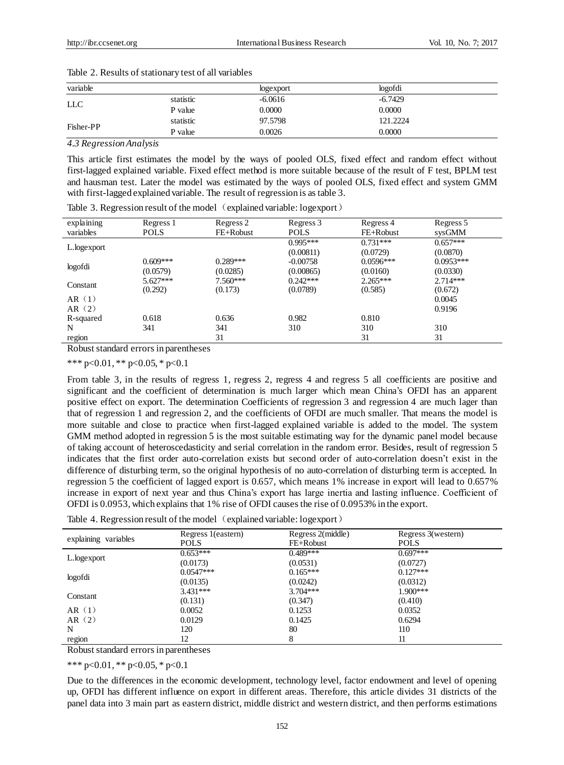| variable   |           | logexport | logofdi   |  |
|------------|-----------|-----------|-----------|--|
| <b>LLC</b> | statistic | $-6.0616$ | $-6.7429$ |  |
|            | P value   | 0.0000    | 0.0000    |  |
| Fisher-PP  | statistic | 97.5798   | 121.2224  |  |
|            | P value   | 0.0026    | 0.0000    |  |

#### Table 2. Results of stationary test of all variables

## *4.3 Regression Analysis*

This article first estimates the model by the ways of pooled OLS, fixed effect and random effect without first-lagged explained variable. Fixed effect method is more suitable because of the result of F test, BPLM test and hausman test. Later the model was estimated by the ways of pooled OLS, fixed effect and system GMM with first-lagged explained variable. The result of regression is as table 3.

| explaining  | Regress 1   | Regress 2  | Regress 3   | Regress 4   | Regress 5   |
|-------------|-------------|------------|-------------|-------------|-------------|
| variables   | <b>POLS</b> | FE+Robust  | <b>POLS</b> | FE+Robust   | sysGMM      |
| L.logexport |             |            | $0.995***$  | $0.731***$  | $0.657***$  |
|             |             |            | (0.00811)   | (0.0729)    | (0.0870)    |
|             | $0.609***$  | $0.289***$ | $-0.00758$  | $0.0596***$ | $0.0953***$ |
| logofdi     | (0.0579)    | (0.0285)   | (0.00865)   | (0.0160)    | (0.0330)    |
| Constant    | $5.627***$  | $7.560***$ | $0.242***$  | $2.265***$  | $2.714***$  |
|             | (0.292)     | (0.173)    | (0.0789)    | (0.585)     | (0.672)     |
| AR(1)       |             |            |             |             | 0.0045      |
| AR(2)       |             |            |             |             | 0.9196      |
| R-squared   | 0.618       | 0.636      | 0.982       | 0.810       |             |
| N           | 341         | 341        | 310         | 310         | 310         |
| region      |             | 31         |             | 31          | 31          |
| . .         | $\sim$      |            |             |             |             |

Table 3. Regression result of the model (explained variable: logexport)

Robust standard errors in parentheses

\*\*\* p<0.01, \*\* p<0.05, \* p<0.1

From table 3, in the results of regress 1, regress 2, regress 4 and regress 5 all coefficients are positive and significant and the coefficient of determination is much larger which mean China's OFDI has an apparent positive effect on export. The determination Coefficients of regression 3 and regression 4 are much lager than that of regression 1 and regression 2, and the coefficients of OFDI are much smaller. That means the model is more suitable and close to practice when first-lagged explained variable is added to the model. The system GMM method adopted in regression 5 is the most suitable estimating way for the dynamic panel model because of taking account of heteroscedasticity and serial correlation in the random error. Besides, result of regression 5 indicates that the first order auto-correlation exists but second order of auto-correlation doesn't exist in the difference of disturbing term, so the original hypothesis of no auto-correlation of disturbing term is accepted. In regression 5 the coefficient of lagged export is 0.657, which means 1% increase in export will lead to 0.657% increase in export of next year and thus China's export has large inertia and lasting influence. Coefficient of OFDI is 0.0953, which explains that 1% rise of OFDI causes the rise of 0.0953% in the export.

Table 4. Regression result of the model (explained variable: logexport)

|                      | Regress 1(eastern) | Regress 2(middle) | Regress 3(western) |
|----------------------|--------------------|-------------------|--------------------|
| explaining variables | <b>POLS</b>        | FE+Robust         | <b>POLS</b>        |
| L.logexport          | $0.653***$         | $0.489***$        | $0.697***$         |
|                      | (0.0173)           | (0.0531)          | (0.0727)           |
| logofdi              | $0.0547***$        | $0.165***$        | $0.127***$         |
|                      | (0.0135)           | (0.0242)          | (0.0312)           |
| Constant             | $3.431***$         | $3.704***$        | $1.900***$         |
|                      | (0.131)            | (0.347)           | (0.410)            |
| AR(1)                | 0.0052             | 0.1253            | 0.0352             |
| AR(2)                | 0.0129             | 0.1425            | 0.6294             |
| N                    | 120                | 80                | 110                |
| region               | 12                 | 8                 | 11                 |

Robust standard errors in parentheses

\*\*\* p<0.01, \*\* p<0.05, \* p<0.1

Due to the differences in the economic development, technology level, factor endowment and level of opening up, OFDI has different influence on export in different areas. Therefore, this article divides 31 districts of the panel data into 3 main part as eastern district, middle district and western district, and then performs estimations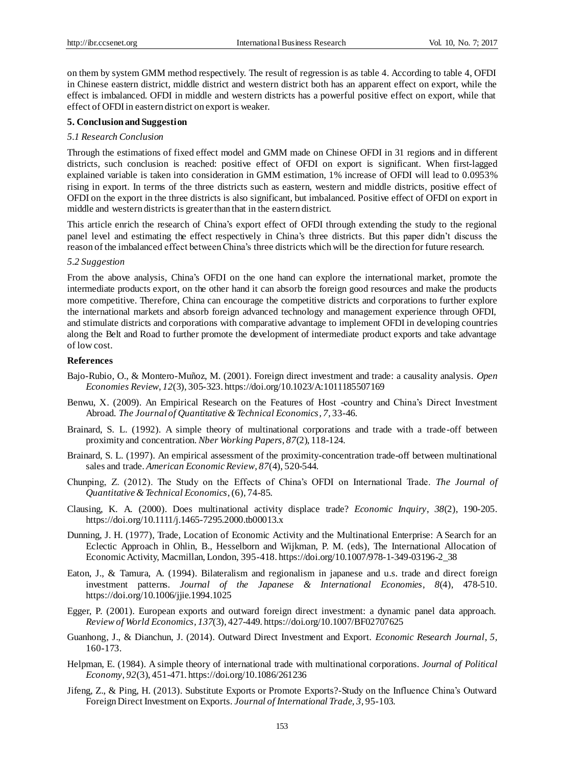on them by system GMM method respectively. The result of regression is as table 4. According to table 4, OFDI in Chinese eastern district, middle district and western district both has an apparent effect on export, while the effect is imbalanced. OFDI in middle and western districts has a powerful positive effect on export, while that effect of OFDI in eastern district on export is weaker.

#### **5. Conclusion and Suggestion**

#### *5.1 Research Conclusion*

Through the estimations of fixed effect model and GMM made on Chinese OFDI in 31 regions and in different districts, such conclusion is reached: positive effect of OFDI on export is significant. When first-lagged explained variable is taken into consideration in GMM estimation, 1% increase of OFDI will lead to 0.0953% rising in export. In terms of the three districts such as eastern, western and middle districts, positive effect of OFDI on the export in the three districts is also significant, but imbalanced. Positive effect of OFDI on export in middle and western districts is greater than that in the eastern district.

This article enrich the research of China's export effect of OFDI through extending the study to the regional panel level and estimating the effect respectively in China's three districts. But this paper didn't discuss the reason of the imbalanced effect between China's three districts which will be the direction for future research.

#### *5.2 Suggestion*

From the above analysis, China's OFDI on the one hand can explore the international market, promote the intermediate products export, on the other hand it can absorb the foreign good resources and make the products more competitive. Therefore, China can encourage the competitive districts and corporations to further explore the international markets and absorb foreign advanced technology and management experience through OFDI, and stimulate districts and corporations with comparative advantage to implement OFDI in developing countries along the Belt and Road to further promote the development of intermediate product exports and take advantage of low cost.

#### **References**

- Bajo-Rubio, O., & Montero-Muñoz, M. (2001). Foreign direct investment and trade: a causality analysis. *Open Economies Review*, *12*(3), 305-323. https://doi.org/10.1023/A:1011185507169
- Benwu, X. (2009). An Empirical Research on the Features of Host -country and China's Direct Investment Abroad. *The Journal of Quantitative & Technical Economics, 7,* 33-46.
- Brainard, S. L. (1992). A simple theory of multinational corporations and trade with a trade-off between proximity and concentration. *Nber Working Papers*, *87*(2), 118-124.
- Brainard, S. L. (1997). An empirical assessment of the proximity-concentration trade-off between multinational sales and trade. *American Economic Review*, *87*(4), 520-544.
- Chunping, Z. (2012). The Study on the Effects of China's OFDI on International Trade. *The Journal of Quantitative & Technical Economics*, (6), 74-85.
- Clausing, K. A. (2000). Does multinational activity displace trade? *Economic Inquiry*, *38*(2), 190-205. https://doi.org/10.1111/j.1465-7295.2000.tb00013.x
- Dunning, J. H. (1977), Trade, Location of Economic Activity and the Multinational Enterprise: A Search for an Eclectic Approach in Ohlin, B., Hesselborn and Wijkman, P. M. (eds), The International Allocation of Economic Activity, Macmillan, London, 395-418. https://doi.org/10.1007/978-1-349-03196-2\_38
- Eaton, J., & Tamura, A. (1994). Bilateralism and regionalism in japanese and u.s. trade and direct foreign investment patterns. *Journal of the Japanese & International Economies*, *8*(4), 478-510. https://doi.org/10.1006/jjie.1994.1025
- Egger, P. (2001). European exports and outward foreign direct investment: a dynamic panel data approach. *Review of World Economics, 137*(3), 427-449. https://doi.org/10.1007/BF02707625
- Guanhong, J., & Dianchun, J. (2014). Outward Direct Investment and Export. *Economic Research Journal*, *5,*  160-173.
- Helpman, E. (1984). A simple theory of international trade with multinational corporations. *Journal of Political Economy*, *92*(3), 451-471. https://doi.org/10.1086/261236
- Jifeng, Z., & Ping, H. (2013). Substitute Exports or Promote Exports?-Study on the Influence China's Outward Foreign Direct Investment on Exports. *Journal of International Trade, 3,* 95-103.